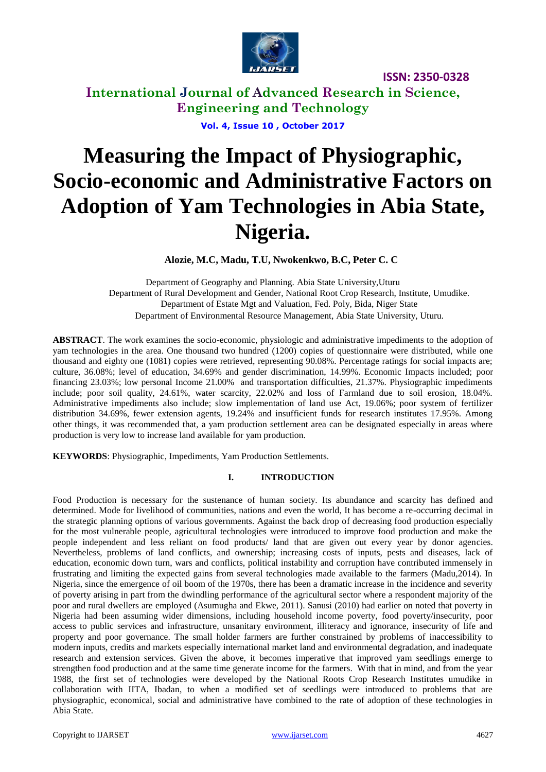

**International Journal of Advanced Research in Science, Engineering and Technology**

**Vol. 4, Issue 10 , October 2017**

# **Measuring the Impact of Physiographic, Socio-economic and Administrative Factors on Adoption of Yam Technologies in Abia State, Nigeria.**

**Alozie, M.C, Madu, T.U, Nwokenkwo, B.C, Peter C. C**

Department of Geography and Planning. Abia State University,Uturu Department of Rural Development and Gender, National Root Crop Research, Institute, Umudike. Department of Estate Mgt and Valuation, Fed. Poly, Bida, Niger State Department of Environmental Resource Management, Abia State University, Uturu.

**ABSTRACT**. The work examines the socio-economic, physiologic and administrative impediments to the adoption of yam technologies in the area. One thousand two hundred (1200) copies of questionnaire were distributed, while one thousand and eighty one (1081) copies were retrieved, representing 90.08%. Percentage ratings for social impacts are; culture, 36.08%; level of education, 34.69% and gender discrimination, 14.99%. Economic Impacts included; poor financing 23.03%; low personal Income 21.00% and transportation difficulties, 21.37%. Physiographic impediments include; poor soil quality, 24.61%, water scarcity, 22.02% and loss of Farmland due to soil erosion, 18.04%. Administrative impediments also include; slow implementation of land use Act, 19.06%; poor system of fertilizer distribution 34.69%, fewer extension agents, 19.24% and insufficient funds for research institutes 17.95%. Among other things, it was recommended that, a yam production settlement area can be designated especially in areas where production is very low to increase land available for yam production.

**KEYWORDS**: Physiographic, Impediments, Yam Production Settlements.

## **I. INTRODUCTION**

Food Production is necessary for the sustenance of human society. Its abundance and scarcity has defined and determined. Mode for livelihood of communities, nations and even the world, It has become a re-occurring decimal in the strategic planning options of various governments. Against the back drop of decreasing food production especially for the most vulnerable people, agricultural technologies were introduced to improve food production and make the people independent and less reliant on food products/ land that are given out every year by donor agencies. Nevertheless, problems of land conflicts, and ownership; increasing costs of inputs, pests and diseases, lack of education, economic down turn, wars and conflicts, political instability and corruption have contributed immensely in frustrating and limiting the expected gains from several technologies made available to the farmers (Madu,2014). In Nigeria, since the emergence of oil boom of the 1970s, there has been a dramatic increase in the incidence and severity of poverty arising in part from the dwindling performance of the agricultural sector where a respondent majority of the poor and rural dwellers are employed (Asumugha and Ekwe, 2011). Sanusi (2010) had earlier on noted that poverty in Nigeria had been assuming wider dimensions, including household income poverty, food poverty/insecurity, poor access to public services and infrastructure, unsanitary environment, illiteracy and ignorance, insecurity of life and property and poor governance. The small holder farmers are further constrained by problems of inaccessibility to modern inputs, credits and markets especially international market land and environmental degradation, and inadequate research and extension services. Given the above, it becomes imperative that improved yam seedlings emerge to strengthen food production and at the same time generate income for the farmers. With that in mind, and from the year 1988, the first set of technologies were developed by the National Roots Crop Research Institutes umudike in collaboration with IITA, Ibadan, to when a modified set of seedlings were introduced to problems that are physiographic, economical, social and administrative have combined to the rate of adoption of these technologies in Abia State.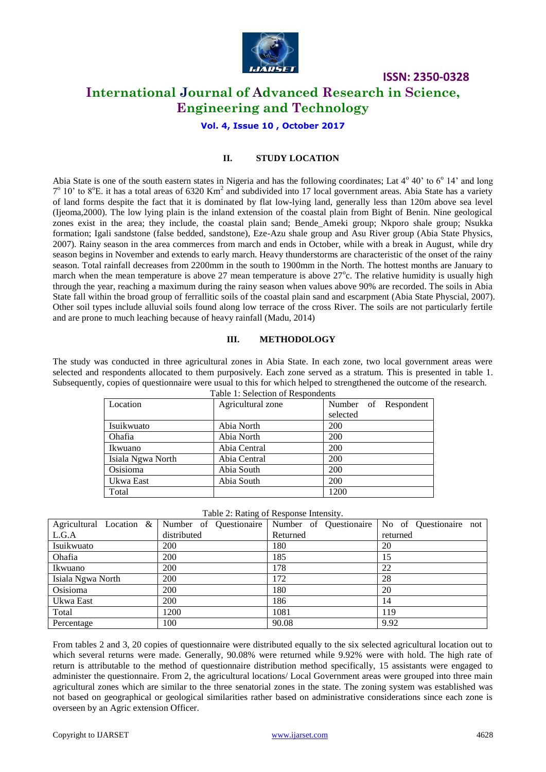

# **International Journal of Advanced Research in Science, Engineering and Technology**

**Vol. 4, Issue 10 , October 2017**

## **II. STUDY LOCATION**

Abia State is one of the south eastern states in Nigeria and has the following coordinates; Lat 4° 40' to 6° 14' and long  $7^{\circ}$  10' to 8<sup>o</sup>E. it has a total areas of 6320 Km<sup>2</sup> and subdivided into 17 local government areas. Abia State has a variety of land forms despite the fact that it is dominated by flat low-lying land, generally less than 120m above sea level (Ijeoma,2000). The low lying plain is the inland extension of the coastal plain from Bight of Benin. Nine geological zones exist in the area; they include, the coastal plain sand; Bende\_Ameki group; Nkporo shale group; Nsukka formation; Igali sandstone (false bedded, sandstone), Eze-Azu shale group and Asu River group (Abia State Physics, 2007). Rainy season in the area commerces from march and ends in October, while with a break in August, while dry season begins in November and extends to early march. Heavy thunderstorms are characteristic of the onset of the rainy season. Total rainfall decreases from 2200mm in the south to 1900mm in the North. The hottest months are January to march when the mean temperature is above 27 mean temperature is above  $27^{\circ}$ c. The relative humidity is usually high through the year, reaching a maximum during the rainy season when values above 90% are recorded. The soils in Abia State fall within the broad group of ferrallitic soils of the coastal plain sand and escarpment (Abia State Physcial, 2007). Other soil types include alluvial soils found along low terrace of the cross River. The soils are not particularly fertile and are prone to much leaching because of heavy rainfall (Madu, 2014)

## **III. METHODOLOGY**

The study was conducted in three agricultural zones in Abia State. In each zone, two local government areas were selected and respondents allocated to them purposively. Each zone served as a stratum. This is presented in table 1. Subsequently, copies of questionnaire were usual to this for which helped to strengthened the outcome of the research. Table 1: Selection of Respondents

| Location          | Agricultural zone | Number of Respondent |
|-------------------|-------------------|----------------------|
|                   |                   |                      |
|                   |                   | selected             |
| Isuikwuato        | Abia North        | <b>200</b>           |
| Ohafia            | Abia North        | 200                  |
| Ikwuano           | Abia Central      | 200                  |
| Isiala Ngwa North | Abia Central      | 200                  |
| Osisioma          | Abia South        | 200                  |
| Ukwa East         | Abia South        | 200                  |
| Total             |                   | 1200                 |

|  | Table 2: Rating of Response Intensity. |  |
|--|----------------------------------------|--|

| Agricultural Location & | Number of Questionaire | Number of Questionaire | No of Questionaire not |
|-------------------------|------------------------|------------------------|------------------------|
| L.G.A                   | distributed            | Returned               | returned               |
| Isuikwuato              | 200                    | 180                    | 20                     |
| Ohafia                  | 200                    | 185                    | 15                     |
| Ikwuano                 | 200                    | 178                    | 22                     |
| Isiala Ngwa North       | 200                    | 172                    | 28                     |
| Osisioma                | 200                    | 180                    | 20                     |
| Ukwa East               | 200                    | 186                    | 14                     |
| Total                   | 1200                   | 1081                   | 119                    |
| Percentage              | 100                    | 90.08                  | 9.92                   |

From tables 2 and 3, 20 copies of questionnaire were distributed equally to the six selected agricultural location out to which several returns were made. Generally, 90.08% were returned while 9.92% were with hold. The high rate of return is attributable to the method of questionnaire distribution method specifically, 15 assistants were engaged to administer the questionnaire. From 2, the agricultural locations/ Local Government areas were grouped into three main agricultural zones which are similar to the three senatorial zones in the state. The zoning system was established was not based on geographical or geological similarities rather based on administrative considerations since each zone is overseen by an Agric extension Officer.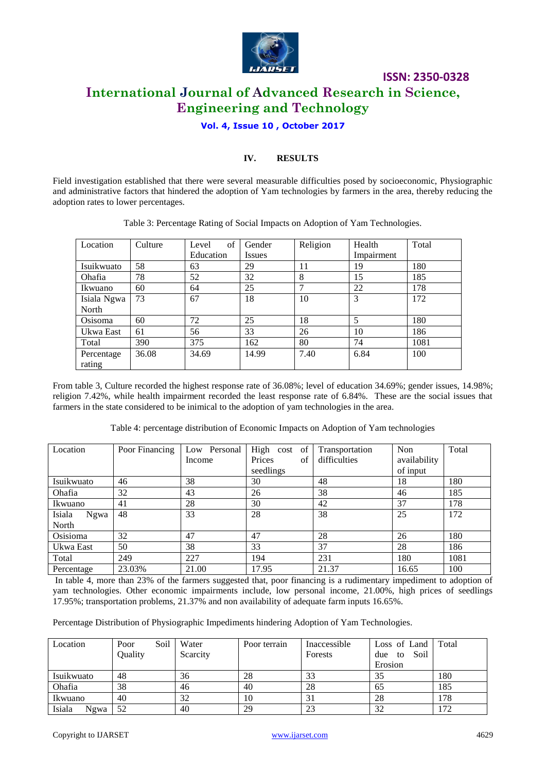

# **ISSN: 2350-0328 International Journal of Advanced Research in Science, Engineering and Technology**

# **Vol. 4, Issue 10 , October 2017**

# **IV. RESULTS**

Field investigation established that there were several measurable difficulties posed by socioeconomic, Physiographic and administrative factors that hindered the adoption of Yam technologies by farmers in the area, thereby reducing the adoption rates to lower percentages.

| Location    | Culture | of<br>Level | Gender        | Religion | Health     | Total |
|-------------|---------|-------------|---------------|----------|------------|-------|
|             |         | Education   | <i>Issues</i> |          | Impairment |       |
| Isuikwuato  | 58      | 63          | 29            | 11       | 19         | 180   |
| Ohafia      | 78      | 52          | 32            | 8        | 15         | 185   |
| Ikwuano     | 60      | 64          | 25            | 7        | 22         | 178   |
| Isiala Ngwa | 73      | 67          | 18            | 10       | 3          | 172   |
| North       |         |             |               |          |            |       |
| Osisoma     | 60      | 72          | 25            | 18       | 5          | 180   |
| Ukwa East   | 61      | 56          | 33            | 26       | 10         | 186   |
| Total       | 390     | 375         | 162           | 80       | 74         | 1081  |
| Percentage  | 36.08   | 34.69       | 14.99         | 7.40     | 6.84       | 100   |
| rating      |         |             |               |          |            |       |

Table 3: Percentage Rating of Social Impacts on Adoption of Yam Technologies.

From table 3, Culture recorded the highest response rate of 36.08%; level of education 34.69%; gender issues, 14.98%; religion 7.42%, while health impairment recorded the least response rate of 6.84%. These are the social issues that farmers in the state considered to be inimical to the adoption of yam technologies in the area.

Table 4: percentage distribution of Economic Impacts on Adoption of Yam technologies

| Location       | Poor Financing | Low Personal | High cost of | Transportation | Non          | Total |
|----------------|----------------|--------------|--------------|----------------|--------------|-------|
|                |                | Income       | Prices<br>of | difficulties   | availability |       |
|                |                |              | seedlings    |                | of input     |       |
| Isuikwuato     | 46             | 38           | 30           | 48             | 18           | 180   |
| Ohafia         | 32             | 43           | 26           | 38             | 46           | 185   |
| Ikwuano        | 41             | 28           | 30           | 42             | 37           | 178   |
| Isiala<br>Ngwa | 48             | 33           | 28           | 38             | 25           | 172   |
| North          |                |              |              |                |              |       |
| Osisioma       | 32             | 47           | 47           | 28             | 26           | 180   |
| Ukwa East      | 50             | 38           | 33           | 37             | 28           | 186   |
| Total          | 249            | 227          | 194          | 231            | 180          | 1081  |
| Percentage     | 23.03%         | 21.00        | 17.95        | 21.37          | 16.65        | 100   |

In table 4, more than 23% of the farmers suggested that, poor financing is a rudimentary impediment to adoption of yam technologies. Other economic impairments include, low personal income, 21.00%, high prices of seedlings 17.95%; transportation problems, 21.37% and non availability of adequate farm inputs 16.65%.

Percentage Distribution of Physiographic Impediments hindering Adoption of Yam Technologies.

| Location       | Soil<br>Poor | Water    | Poor terrain | Inaccessible | Loss of Land      | Total |
|----------------|--------------|----------|--------------|--------------|-------------------|-------|
|                | Quality      | Scarcity |              | Forests      | Soil<br>due<br>to |       |
|                |              |          |              |              | Erosion           |       |
| Isuikwuato     | 48           | 36       | 28           | 33           | 35                | 180   |
| Ohafia         | 38           | 46       | 40           | 28           | 65                | 185   |
| Ikwuano        | 40           | 32       | 10           | 31           | 28                | 178   |
| Isiala<br>Ngwa | 52           | 40       | 29           | 23           | 32                | 172   |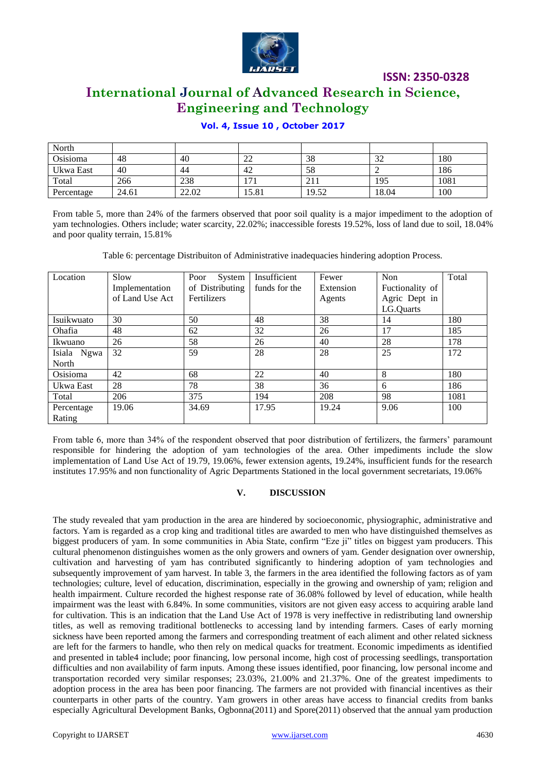

# **International Journal of Advanced Research in Science, Engineering and Technology**

## **Vol. 4, Issue 10 , October 2017**

| North      |       |       |              |       |       |      |
|------------|-------|-------|--------------|-------|-------|------|
| Osisioma   | 48    | 40    | ∠∠           | 38    | 32    | 180  |
| Ukwa East  | 40    | 44    | 42           | 58    |       | 186  |
| Total      | 266   | 238   | $\mathbf{7}$ | 211   | 195   | 1081 |
| Percentage | 24.61 | 22.02 | 15.81        | 19.52 | 18.04 | 100  |

From table 5, more than 24% of the farmers observed that poor soil quality is a major impediment to the adoption of yam technologies. Others include; water scarcity, 22.02%; inaccessible forests 19.52%, loss of land due to soil, 18.04% and poor quality terrain, 15.81%

Table 6: percentage Distribuiton of Administrative inadequacies hindering adoption Process.

| Location    | Slow            | Poor<br>System  | Insufficient  | Fewer     | Non             | Total |
|-------------|-----------------|-----------------|---------------|-----------|-----------------|-------|
|             | Implementation  | of Distributing | funds for the | Extension | Fuctionality of |       |
|             | of Land Use Act | Fertilizers     |               | Agents    | Agric Dept in   |       |
|             |                 |                 |               |           | LG.Quarts       |       |
| Isuikwuato  | 30              | 50              | 48            | 38        | 14              | 180   |
| Ohafia      | 48              | 62              | 32            | 26        | 17              | 185   |
| Ikwuano     | 26              | 58              | 26            | 40        | 28              | 178   |
| Isiala Ngwa | 32              | 59              | 28            | 28        | 25              | 172   |
| North       |                 |                 |               |           |                 |       |
| Osisioma    | 42              | 68              | 22            | 40        | 8               | 180   |
| Ukwa East   | 28              | 78              | 38            | 36        | 6               | 186   |
| Total       | 206             | 375             | 194           | 208       | 98              | 1081  |
| Percentage  | 19.06           | 34.69           | 17.95         | 19.24     | 9.06            | 100   |
| Rating      |                 |                 |               |           |                 |       |

From table 6, more than 34% of the respondent observed that poor distribution of fertilizers, the farmers" paramount responsible for hindering the adoption of yam technologies of the area. Other impediments include the slow implementation of Land Use Act of 19.79, 19.06%, fewer extension agents, 19.24%, insufficient funds for the research institutes 17.95% and non functionality of Agric Departments Stationed in the local government secretariats, 19.06%

## **V. DISCUSSION**

The study revealed that yam production in the area are hindered by socioeconomic, physiographic, administrative and factors. Yam is regarded as a crop king and traditional titles are awarded to men who have distinguished themselves as biggest producers of yam. In some communities in Abia State, confirm "Eze ji" titles on biggest yam producers. This cultural phenomenon distinguishes women as the only growers and owners of yam. Gender designation over ownership, cultivation and harvesting of yam has contributed significantly to hindering adoption of yam technologies and subsequently improvement of yam harvest. In table 3, the farmers in the area identified the following factors as of yam technologies; culture, level of education, discrimination, especially in the growing and ownership of yam; religion and health impairment. Culture recorded the highest response rate of 36.08% followed by level of education, while health impairment was the least with 6.84%. In some communities, visitors are not given easy access to acquiring arable land for cultivation. This is an indication that the Land Use Act of 1978 is very ineffective in redistributing land ownership titles, as well as removing traditional bottlenecks to accessing land by intending farmers. Cases of early morning sickness have been reported among the farmers and corresponding treatment of each aliment and other related sickness are left for the farmers to handle, who then rely on medical quacks for treatment. Economic impediments as identified and presented in table4 include; poor financing, low personal income, high cost of processing seedlings, transportation difficulties and non availability of farm inputs. Among these issues identified, poor financing, low personal income and transportation recorded very similar responses; 23.03%, 21.00% and 21.37%. One of the greatest impediments to adoption process in the area has been poor financing. The farmers are not provided with financial incentives as their counterparts in other parts of the country. Yam growers in other areas have access to financial credits from banks especially Agricultural Development Banks, Ogbonna(2011) and Spore(2011) observed that the annual yam production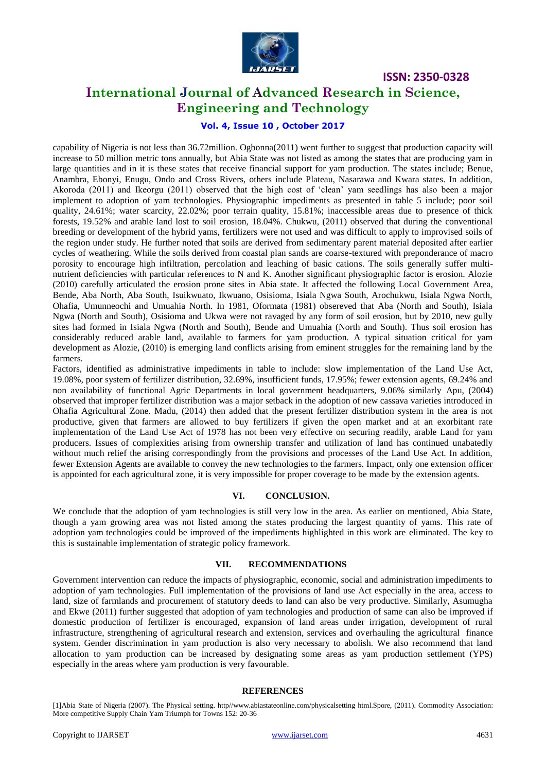

# **International Journal of Advanced Research in Science, Engineering and Technology**

## **Vol. 4, Issue 10 , October 2017**

capability of Nigeria is not less than 36.72million. Ogbonna(2011) went further to suggest that production capacity will increase to 50 million metric tons annually, but Abia State was not listed as among the states that are producing yam in large quantities and in it is these states that receive financial support for yam production. The states include; Benue, Anambra, Ebonyi, Enugu, Ondo and Cross Rivers, others include Plateau, Nasarawa and Kwara states. In addition, Akoroda (2011) and Ikeorgu (2011) observed that the high cost of "clean" yam seedlings has also been a major implement to adoption of yam technologies. Physiographic impediments as presented in table 5 include; poor soil quality, 24.61%; water scarcity, 22.02%; poor terrain quality, 15.81%; inaccessible areas due to presence of thick forests, 19.52% and arable land lost to soil erosion, 18.04%. Chukwu, (2011) observed that during the conventional breeding or development of the hybrid yams, fertilizers were not used and was difficult to apply to improvised soils of the region under study. He further noted that soils are derived from sedimentary parent material deposited after earlier cycles of weathering. While the soils derived from coastal plan sands are coarse-textured with preponderance of macro porosity to encourage high infiltration, percolation and leaching of basic cations. The soils generally suffer multinutrient deficiencies with particular references to N and K. Another significant physiographic factor is erosion. Alozie (2010) carefully articulated the erosion prone sites in Abia state. It affected the following Local Government Area, Bende, Aba North, Aba South, Isuikwuato, Ikwuano, Osisioma, Isiala Ngwa South, Arochukwu, Isiala Ngwa North, Ohafia, Umunneochi and Umuahia North. In 1981, Oformata (1981) obsereved that Aba (North and South), Isiala Ngwa (North and South), Osisioma and Ukwa were not ravaged by any form of soil erosion, but by 2010, new gully sites had formed in Isiala Ngwa (North and South), Bende and Umuahia (North and South). Thus soil erosion has considerably reduced arable land, available to farmers for yam production. A typical situation critical for yam development as Alozie, (2010) is emerging land conflicts arising from eminent struggles for the remaining land by the farmers.

Factors, identified as administrative impediments in table to include: slow implementation of the Land Use Act, 19.08%, poor system of fertilizer distribution, 32.69%, insufficient funds, 17.95%; fewer extension agents, 69.24% and non availability of functional Agric Departments in local government headquarters, 9.06% similarly Apu, (2004) observed that improper fertilizer distribution was a major setback in the adoption of new cassava varieties introduced in Ohafia Agricultural Zone. Madu, (2014) then added that the present fertilizer distribution system in the area is not productive, given that farmers are allowed to buy fertilizers if given the open market and at an exorbitant rate implementation of the Land Use Act of 1978 has not been very effective on securing readily, arable Land for yam producers. Issues of complexities arising from ownership transfer and utilization of land has continued unabatedly without much relief the arising correspondingly from the provisions and processes of the Land Use Act. In addition, fewer Extension Agents are available to convey the new technologies to the farmers. Impact, only one extension officer is appointed for each agricultural zone, it is very impossible for proper coverage to be made by the extension agents.

## **VI. CONCLUSION.**

We conclude that the adoption of yam technologies is still very low in the area. As earlier on mentioned, Abia State, though a yam growing area was not listed among the states producing the largest quantity of yams. This rate of adoption yam technologies could be improved of the impediments highlighted in this work are eliminated. The key to this is sustainable implementation of strategic policy framework.

## **VII. RECOMMENDATIONS**

Government intervention can reduce the impacts of physiographic, economic, social and administration impediments to adoption of yam technologies. Full implementation of the provisions of land use Act especially in the area, access to land, size of farmlands and procurement of statutory deeds to land can also be very productive. Similarly, Asumugha and Ekwe (2011) further suggested that adoption of yam technologies and production of same can also be improved if domestic production of fertilizer is encouraged, expansion of land areas under irrigation, development of rural infrastructure, strengthening of agricultural research and extension, services and overhauling the agricultural finance system. Gender discrimination in yam production is also very necessary to abolish. We also recommend that land allocation to yam production can be increased by designating some areas as yam production settlement (YPS) especially in the areas where yam production is very favourable.

## **REFERENCES**

[1]Abia State of Nigeria (2007). The Physical setting. http//www.abiastateonline.com/physicalsetting html.Spore, (2011). Commodity Association: More competitive Supply Chain Yam Triumph for Towns 152: 20-36